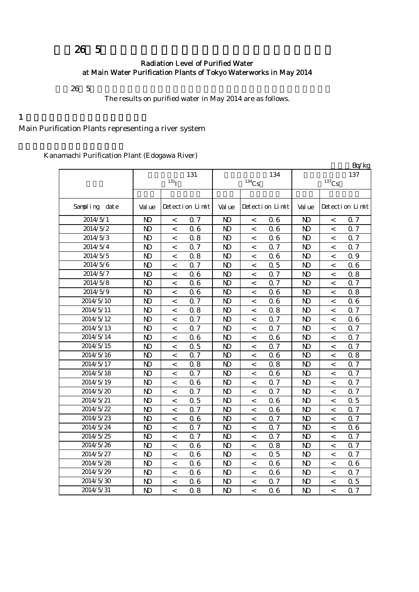## 26 5

## Radiation Level of Purified Water at Main Water Purification Plants of Tokyo Waterworks in May 2014

 $26\;\; 5$ 

The results on purified water in May 2014 are as follows.

 $1$ 

Main Purification Plants representing a river system

Kanamachi Purification Plant (Edogawa River)

|               |                |                          |                 |                |                     |                 |                |                     | Bq/kg           |
|---------------|----------------|--------------------------|-----------------|----------------|---------------------|-----------------|----------------|---------------------|-----------------|
|               |                |                          | 131             |                |                     | 134             |                |                     | 137             |
|               |                | $131$ <sup>T</sup>       |                 |                | $^{134}\mathrm{Cs}$ |                 |                | $^{137}\mathrm{Cs}$ |                 |
|               |                |                          |                 |                |                     |                 |                |                     |                 |
| Sampling date | Val ue         |                          | Detection Limit | Val ue         |                     | Detection Limit | Val ue         |                     | Detection Limit |
| 2014/5/1      | $\mathbf{D}$   | $\,<$                    | 0.7             | $\mathbf{D}$   | $\,<$               | 06              | $\mathbf{D}$   | $\,<$               | Q 7             |
| 2014/5/2      | $\mathbf{D}$   | $\,<$                    | 0.6             | $\mathbf{D}$   | $\,<\,$             | 06              | $\mathbf{D}$   | $\overline{a}$      | <b>Q7</b>       |
| 2014/5/3      | $\mathbf{D}$   | $\,<$                    | 0.8             | $\mathbf{D}$   | $\,<\,$             | 06              | $\mathbf{D}$   | $\,<$               | 0.7             |
| 2014/5/4      | $\mathbf{N}$   | $\,<$                    | 0.7             | $\mathbf{D}$   | $\,<\,$             | 0.7             | $\mathbf{D}$   | $\,<\,$             | 0.7             |
| 2014/5/5      | $\mathbf{D}$   | $\,<$                    | 0.8             | $\mathbf{D}$   | $\,<\,$             | 06              | N <sub>D</sub> | $\,<\,$             | 0.9             |
| 2014/5/6      | $\mathbf{D}$   | $\,<\,$                  | 0.7             | $\mathbf{D}$   | $\,<\,$             | 0.5             | $\mathbf{D}$   | $\,<\,$             | 06              |
| 2014/5/7      | $\mathbf{D}$   | $\,<$                    | 0.6             | $\mathbf{D}$   | $\,<\,$             | 0.7             | N <sub>D</sub> | $\,<\,$             | 0.8             |
| 2014/5/8      | N <sub>D</sub> | $\,<$                    | 0.6             | N <sub>D</sub> | $\,<\,$             | 0.7             | N <sub>D</sub> | $\,<\,$             | Q 7             |
| 2014/5/9      | $\mathbf{D}$   | $\,<$                    | 0.6             | $\mathbf{D}$   | $\,<\,$             | 06              | N <sub>D</sub> | $\,<\,$             | 0.8             |
| 2014/5/10     | N <sub>D</sub> | $\,<$                    | 0.7             | N <sub>D</sub> | $\,<\,$             | 06              | N <sub>D</sub> | $\,<$               | 06              |
| 2014/5/11     | $\mathbf{D}$   | $\lt$                    | 0.8             | $\mathbf{D}$   | $\,<\,$             | 0.8             | $\mathbf{D}$   | $\lt$               | Q 7             |
| 2014/5/12     | $\mathbf{D}$   | $\,<\,$                  | 0.7             | $\mathbf{D}$   | $\,<\,$             | 0.7             | $\mathbf{D}$   | $\,<\,$             | 06              |
| 2014/5/13     | $\mathbf{D}$   | $\lt$                    | 0.7             | N <sub>D</sub> | $\,<\,$             | Q 7             | $\mathbf{D}$   | $\lt$               | Q 7             |
| 2014/5/14     | $\mathbf{D}$   | $\,<\,$                  | 0.6             | N <sub>D</sub> | $\,<\,$             | 06              | $\mathbf{D}$   | $\,<\,$             | 0.7             |
| 2014/5/15     | $\mathbf{D}$   | $\,<$                    | 0.5             | N <sub>D</sub> | $\,<\,$             | 0.7             | $\mathbf{D}$   | $\,<$               | 0.7             |
| 2014/5/16     | $\mathbf{D}$   | $\,<\,$                  | 0.7             | $\mathbf{D}$   | $\,<\,$             | 06              | $\mathbf{D}$   | $\,<\,$             | 0.8             |
| 2014/5/17     | $\mathbf{D}$   | $\,<$                    | 0.8             | $\mathbf{D}$   | $\,<\,$             | 0.8             | $\mathbf{D}$   | $\,<\,$             | Q 7             |
| 2014/5/18     | $\mathbf{D}$   | $\,<\,$                  | 0.7             | $\mathbf{D}$   | $\,<\,$             | 06              | $\mathbf{D}$   | $\,<\,$             | 0.7             |
| 2014/5/19     | $\mathbf{D}$   | $\,<\,$                  | 0.6             | N <sub>D</sub> | $\,<$               | 0.7             | $\mathbf{D}$   | $\overline{a}$      | Q 7             |
| 2014/5/20     | $\mathbf{D}$   | $\,<$                    | 0.7             | N <sub>D</sub> | $\,<\,$             | Q 7             | $\mathbf{D}$   | $\,<$               | 0.7             |
| 2014/5/21     | $\mathbf{D}$   | $\,<\,$                  | 0.5             | $\mathbf{D}$   | $\,<\,$             | 06              | $\mathbf{D}$   | $\,<\,$             | 0.5             |
| 2014/5/22     | $\mathbf{D}$   | $\overline{\phantom{a}}$ | 0.7             | $\mathbf{D}$   | $\,<\,$             | 06              | $\mathbf{D}$   | $\overline{a}$      | 0.7             |
| 2014/5/23     | $\mathbf{D}$   | $\,<\,$                  | 0.6             | $\mathbf{D}$   | $\,<\,$             | 0.7             | $\mathbf{D}$   | $\,<\,$             | Q 7             |
| 2014/5/24     | $\mathbf{D}$   | $\overline{\phantom{a}}$ | 0.7             | $\mathbf{D}$   | $\,<\,$             | 0.7             | $\mathbf{D}$   | $\lt$               | 06              |
| 2014/5/25     | $\mathbf{D}$   | $\,<\,$                  | 0.7             | N <sub>D</sub> | $\,<\,$             | 0.7             | $\mathbf{D}$   | $\,<\,$             | 0.7             |
| 2014/5/26     | $\mathbf{D}$   | $\lt$                    | 0.6             | N <sub>D</sub> | $\lt$               | 0.8             | N <sub>D</sub> | $\lt$               | Q 7             |
| 2014/5/27     | $\mathbf{D}$   | $\,<\,$                  | 0.6             | N <sub>D</sub> | $\,<\,$             | 0.5             | $\mathbf{D}$   | $\,<\,$             | 0.7             |
| 2014/5/28     | $\mathbf{N}$   | $\lt$                    | 0.6             | N <sub>D</sub> | $\lt$               | 06              | $\mathbf{N}$   | $\lt$               | 06              |
| 2014/5/29     | $\mathbf{D}$   | $\,<\,$                  | 0.6             | $\mathbf{D}$   | $\,<\,$             | 06              | $\mathbf{D}$   | $\lt$               | 0.7             |
| 2014/5/30     | $\mathbf{D}$   | $\,<$                    | 0.6             | N <sub>D</sub> | $\,<\,$             | 0.7             | $\mathbf{D}$   | $\,<$               | 0.5             |
| 2014/5/31     | $\mathbf{D}$   | $\,<\,$                  | 0.8             | N <sub>D</sub> | $\,<\,$             | 06              | $\mathbf{D}$   | $\lt$               | Q 7             |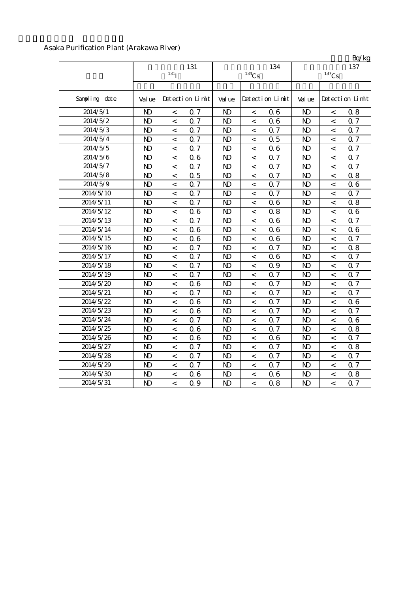## Asaka Purification Plant (Arakawa River)

|               |                |                          |                 |                |                          |                 |                |                          | Bq/kg           |
|---------------|----------------|--------------------------|-----------------|----------------|--------------------------|-----------------|----------------|--------------------------|-----------------|
|               |                |                          | 131             |                |                          | 134             |                |                          | 137             |
|               |                | 131 <sub>T</sub>         |                 |                | $134$ Cs                 |                 |                | $137$ Cs                 |                 |
| Sampling date | Val ue         |                          | Detection Limit | Val ue         |                          | Detection Limit | Val ue         |                          | Detection Limit |
| 2014/5/1      | N <sub>D</sub> | $\,<\,$                  | 0.7             | N <sub>D</sub> | $\,<\,$                  | 06              | $\mathbf{N}$   | $\,<\,$                  | 0.8             |
| 2014/5/2      | $\mathbf{D}$   | $\,<$                    | 0.7             | $\mathbf{N}$   | $\,<$                    | 06              | $\mathbf{D}$   | $\,<\,$                  | 0.7             |
| 2014/5/3      | $\mathbf{D}$   | $\,<$                    | 0.7             | N <sub>D</sub> | $\,<$                    | Q 7             | $\mathbf{D}$   | $\,<\,$                  | 0.7             |
| 2014/5/4      | $\mathbf{D}$   | $\,<$                    | 0.7             | N <sub>D</sub> | $\,<$                    | 0.5             | $\mathbf{N}$   | $\,<\,$                  | <b>Q7</b>       |
| 2014/5/5      | $\mathbf{D}$   | $\,<$                    | 0.7             | N <sub>D</sub> | $\,<$                    | 06              | $\mathbf{N}$   | $\,<\,$                  | 0.7             |
| 2014/5/6      | $\mathbf{D}$   | $\,<$                    | 0.6             | N <sub>D</sub> | $\,<$                    | 0.7             | $\mathbf{N}$   | $\,<$                    | <b>Q7</b>       |
| 2014/5/7      | $\mathbf{D}$   | $\overline{<}$           | 0.7             | N <sub>D</sub> | $\,<$                    | Q 7             | $\mathbf{N}$   | $\,<\,$                  | Q 7             |
| 2014/5/8      | $\mathbf{D}$   | $\,<$                    | 0.5             | N <sub>D</sub> | $\,<$                    | 0.7             | $\mathbf{N}$   | $\,<\,$                  | 0.8             |
| 2014/5/9      | N <sub>D</sub> | $\,<$                    | 0.7             | N <sub>D</sub> | $\,<\,$                  | 0.7             | $\mathbf{N}$   | $\,<\,$                  | 06              |
| 2014/5/10     | $\mathbf{D}$   | $\overline{<}$           | 0.7             | N <sub>D</sub> | $\,<\,$                  | 0.7             | N <sub>D</sub> | $\,<\,$                  | Q 7             |
| 2014/5/11     | $\mathbf{D}$   | $\overline{<}$           | 0.7             | N <sub>D</sub> | $\,<$                    | 06              | N <sub>D</sub> | $\,<\,$                  | 0.8             |
| 2014/5/12     | $\mathbf{D}$   | $\,<$                    | 0.6             | $\mathbf{D}$   | $\,<\,$                  | 0.8             | $\mathbf{D}$   | $\,<\,$                  | 06              |
| 2014/5/13     | N <sub>D</sub> | $\,<$                    | 0.7             | N <sub>D</sub> | $\,<\,$                  | 06              | N <sub>D</sub> | $\,<\,$                  | 0.7             |
| 2014/5/14     | $\mathbf{D}$   | $\prec$                  | 0.6             | N <sub>D</sub> | $\,<\,$                  | 06              | $\mathbf{N}$   | $\,<\,$                  | 06              |
| 2014/5/15     | $\mathbf{D}$   | $\prec$                  | 0.6             | N <sub>D</sub> | $\,<\,$                  | 06              | N <sub>D</sub> | $\,<\,$                  | 0.7             |
| 2014/5/16     | $\mathbf{D}$   | $\prec$                  | 0.7             | $\mathbf{D}$   | $\,<\,$                  | 0.7             | $\mathbf{N}$   | $\,<\,$                  | 0.8             |
| 2014/5/17     | $\mathbf{D}$   | $\,<$                    | 0.7             | N <sub>D</sub> | $\,<\,$                  | 06              | $\mathbf{N}$   | $\overline{a}$           | <b>Q7</b>       |
| 2014/5/18     | $\mathbf{D}$   | $\overline{\phantom{a}}$ | 0.7             | N <sub>D</sub> | $\overline{\phantom{a}}$ | 0.9             | $\mathbf{N}$   | $\overline{\phantom{a}}$ | 0.7             |
| 2014/5/19     | $\mathbf{D}$   | $\overline{\phantom{a}}$ | 0.7             | N <sub>D</sub> | $\overline{\phantom{a}}$ | Q 7             | $\mathbf{N}$   | $\overline{\phantom{a}}$ | 0.7             |
| 2014/5/20     | $\mathbf{D}$   | $\overline{a}$           | 0.6             | $\mathbf{D}$   | $\,<\,$                  | 0.7             | $\mathbf{N}$   | $\overline{a}$           | Q 7             |
| 2014/5/21     | $\mathbf{D}$   | $\lt$                    | 0.7             | N <sub>D</sub> | $\,<\,$                  | 0.7             | $\mathbf{D}$   | $\lt$                    | Q <sub>7</sub>  |
| 2014/5/22     | $\mathbf{D}$   | $\,<\,$                  | 0.6             | N <sub>D</sub> | $\,<\,$                  | 0.7             | N <sub>D</sub> | $\,<\,$                  | 06              |
| 2014/5/23     | $\mathbf{D}$   | $\,<\,$                  | 0.6             | N <sub>D</sub> | $\,<\,$                  | 0.7             | N <sub>D</sub> | $\,<\,$                  | 0.7             |
| 2014/5/24     | $\mathbf{D}$   | $\overline{<}$           | 0.7             | $\mathbf{D}$   | $\,<$                    | 0.7             | $\mathbf{D}$   | $\,<\,$                  | 06              |
| 2014/5/25     | $\mathbf{D}$   | $\overline{<}$           | 0.6             | $\mathbf{D}$   | $\,<$                    | 0.7             | $\mathbf{D}$   | $\,<$                    | 0.8             |
| 2014/5/26     | $\mathbf{D}$   | $\overline{<}$           | 06              | N <sub>D</sub> | $\,<$                    | 06              | $\mathbf{D}$   | $\,<\,$                  | 0.7             |
| 2014/5/27     | $\mathbf{D}$   | $\overline{<}$           | 0.7             | N <sub>D</sub> | $\,<$                    | 0.7             | $\mathbf{N}$   | $\,<$                    | 0.8             |
| 2014/5/28     | $\mathbf{D}$   | $\,<$                    | 0.7             | N <sub>D</sub> | $\,<$                    | 0.7             | $\mathbf{D}$   | $\,<$                    | 0.7             |
| 2014/5/29     | $\mathbf{N}$   | $\,<$                    | 0.7             | $\mathbf{D}$   | $\,<$                    | 0.7             | $\mathbf{N}$   | $\,<$                    | 0.7             |
| 2014/5/30     | $\mathbf{D}$   | $\,<$                    | 0.6             | $\mathbf{D}$   | $\,<$                    | 06              | $\mathbf{D}$   | $\,<$                    | 0.8             |
| 2014/5/31     | $\mathbf{D}$   | $\overline{<}$           | 0.9             | $\mathbf{D}$   | $\,<$                    | 0.8             | $\mathbf{N}$   | $\,<\,$                  | 0.7             |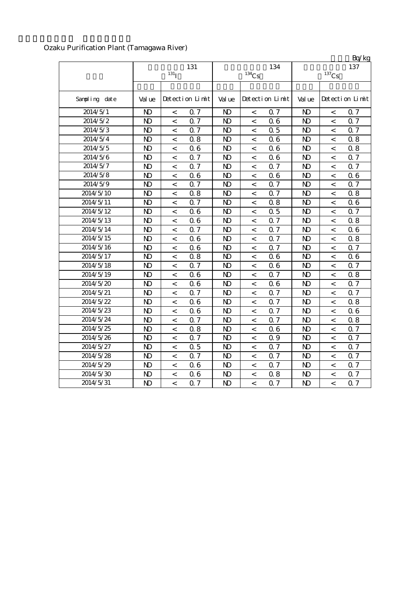Ozaku Purification Plant (Tamagawa River)

|               |              |                          |                 |                |                |                 |                |                          | Bq/kg           |
|---------------|--------------|--------------------------|-----------------|----------------|----------------|-----------------|----------------|--------------------------|-----------------|
|               |              |                          | 131             |                |                | 134             |                |                          | 137             |
|               |              | $131$ <sup>T</sup>       |                 |                | $134$ Cs       |                 |                | $137$ Cs                 |                 |
|               |              |                          |                 |                |                |                 |                |                          |                 |
| Sampling date | Val ue       |                          | Detection Limit | Val ue         |                | Detection Limit | Val ue         |                          | Detection Limit |
| 2014/5/1      | $\mathbf{D}$ | $\,<$                    | 0.7             | $\mathbf{D}$   | $\,<$          | 0.7             | N <sub>D</sub> | $\,<\,$                  | $\alpha$ 7      |
| 2014/5/2      | $\mathbf{D}$ | $\overline{<}$           | 0.7             | $\mathbf{D}$   | $\,<$          | 06              | $\mathbf{N}$   | $\overline{a}$           | 0.7             |
| 2014/5/3      | $\mathbf{D}$ | $\overline{<}$           | 0.7             | $\mathbf{D}$   | $\,<$          | 0.5             | $\mathbf{N}$   | $\,<\,$                  | 0.7             |
| 2014/5/4      | $\mathbf{D}$ | $\overline{<}$           | 0.8             | $\mathbf{D}$   | $\overline{<}$ | 06              | N <sub>D</sub> | $\overline{\phantom{a}}$ | 0.8             |
| 2014/5/5      | $\mathbf{N}$ | $\,<$                    | 0.6             | $\mathbf{D}$   | $\,<$          | 06              | $\mathbf{N}$   | $\,<\,$                  | 0.8             |
| 2014/5/6      | $\mathbf{D}$ | $\,<$                    | 0.7             | $\mathbf{D}$   | $\,<$          | 06              | $\mathbf{D}$   | $\,<$                    | 0.7             |
| 2014/5/7      | $\mathbf{D}$ | $\,<\,$                  | 0.7             | $\mathbf{N}$   | $\,<\,$        | Q 7             | $\mathbf{N}$   | $\,<\,$                  | Q 7             |
| 2014/5/8      | $\mathbf{D}$ | $\,<$                    | 0.6             | $\mathbf{D}$   | $\,<$          | 06              | $\mathbf{N}$   | $\,<\,$                  | 06              |
| 2014/5/9      | $\mathbf{D}$ | $\,<\,$                  | 0.7             | $\mathbf{D}$   | $\,<$          | 0.7             | $\mathbf{N}$   | $\,<\,$                  | 0.7             |
| 2014/5/10     | $\mathbf{D}$ | $\,<$                    | 0.8             | $\mathbf{N}$   | $\,<\,$        | 0.7             | $\mathbf{N}$   | $\,<\,$                  | 0.8             |
| 2014/5/11     | $\mathbf{D}$ | $\,<$                    | 0.7             | N <sub>D</sub> | $\,<\,$        | 0.8             | N <sub>D</sub> | $\,<\,$                  | 06              |
| 2014/5/12     | $\mathbf{D}$ | $\,<\,$                  | 0.6             | $\mathbf{D}$   | $\,<\,$        | 0.5             | $\mathbf{N}$   | $\,<\,$                  | 0.7             |
| 2014/5/13     | $\mathbf{D}$ | $\,<\,$                  | 0.6             | N <sub>D</sub> | $\,<\,$        | Q 7             | $\mathbf{N}$   | $\,<\,$                  | 0.8             |
| 2014/5/14     | $\mathbf{D}$ | $\,<\,$                  | 0.7             | N <sub>D</sub> | $\,<\,$        | Q 7             | $\mathbf{N}$   | $\,<\,$                  | 06              |
| 2014/5/15     | $\mathbf{D}$ | $\overline{a}$           | 0.6             | N <sub>D</sub> | $\,<\,$        | Q 7             | $\mathbf{N}$   | $\,<\,$                  | 0.8             |
| 2014/5/16     | $\mathbf{D}$ | $\,<$                    | 0.6             | N <sub>D</sub> | $\,<$          | 0.7             | $\mathbf{N}$   | $\,<\,$                  | 0.7             |
| 2014/5/17     | $\mathbf{D}$ | $\,<$                    | 0.8             | N <sub>D</sub> | $\,<$          | 06              | $\mathbf{D}$   | $\,<\,$                  | 06              |
| 2014/5/18     | $\mathbf{D}$ | $\,<$                    | 0.7             | N <sub>D</sub> | $\,<$          | 06              | $\mathbf{N}$   | $\,<\,$                  | 0.7             |
| 2014/5/19     | $\mathbf{D}$ | $\,<$                    | 0.6             | $\mathbf{D}$   | $\,<\,$        | Q 7             | $\mathbf{N}$   | $\,<\,$                  | 0.8             |
| 2014/5/20     | $\mathbf{D}$ | $\,<$                    | 0.6             | $\mathbf{N}$   | $\,<\,$        | 06              | $\mathbf{N}$   | $\,<\,$                  | Q 7             |
| 2014/5/21     | $\mathbf{D}$ | $\,<$                    | 0.7             | $\mathbf{D}$   | $\,<\,$        | Q 7             | $\mathbf{N}$   | $\prec$                  | <b>Q7</b>       |
| 2014/5/22     | $\mathbf{D}$ | $\prec$                  | 0.6             | $\mathbf{D}$   | $\,<\,$        | Q 7             | $\mathbf{N}$   | $\prec$                  | 0.8             |
| 2014/5/23     | $\mathbf{D}$ | $\overline{\phantom{a}}$ | 0.6             | $\mathbf{D}$   | $\,<\,$        | Q 7             | N <sub>D</sub> | $\overline{\phantom{a}}$ | 06              |
| 2014/5/24     | $\mathbf{D}$ | $\overline{\phantom{a}}$ | 0.7             | $\mathbf{D}$   | $\,<\,$        | 0.7             | $\mathbf{D}$   | $\,<\,$                  | 0.8             |
| 2014/5/25     | $\mathbf{D}$ | $\,<\,$                  | 0.8             | $\mathbf{D}$   | $\,<\,$        | 06              | $\mathbf{N}$   | $\,<\,$                  | Q 7             |
| 2014/5/26     | $\mathbf{D}$ | $\lt$                    | 0.7             | $\mathbf{D}$   | $\,<\,$        | 0.9             | $\mathbf{N}$   | $\lt$                    | Q 7             |
| 2014/5/27     | $\mathbf{D}$ | $\,<\,$                  | 0.5             | N <sub>D</sub> | $\,<\,$        | 0.7             | $\mathbf{D}$   | $\,<\,$                  | 0.7             |
| 2014/5/28     | $\mathbf{D}$ | $\overline{<}$           | 0.7             | N <sub>D</sub> | $\overline{a}$ | 0.7             | N <sub>D</sub> | $\lt$                    | 0.7             |
| 2014/5/29     | $\mathbf{D}$ | $\overline{<}$           | 06              | $\mathbf{D}$   | $\,<$          | 0.7             | $\mathbf{N}$   | $\,<\,$                  | 0.7             |
| 2014/5/30     | $\mathbf{N}$ | $\prec$                  | 0.6             | N <sub>D</sub> | $\lt$          | 0.8             | $\mathbf{D}$   | $\,<$                    | 0.7             |
| 2014/5/31     | $\mathbf{D}$ | $\overline{<}$           | 0.7             | $\mathbf{D}$   | $\,<$          | 0.7             | $\mathbf{D}$   | $\,<$                    | <b>Q7</b>       |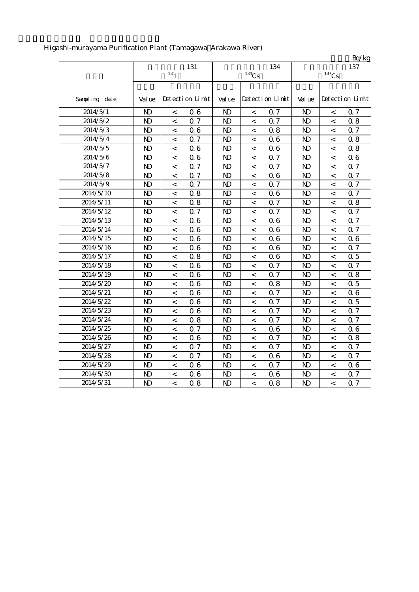|               |                |                    |                 |                |                          |                 |                |                          | Bq/kg           |
|---------------|----------------|--------------------|-----------------|----------------|--------------------------|-----------------|----------------|--------------------------|-----------------|
|               |                |                    | 131             |                |                          | 134             |                |                          | 137             |
|               |                | $131$ <sup>T</sup> |                 |                | $134$ Cs                 |                 |                | $^{137}\mathrm{Cs}$      |                 |
|               |                |                    |                 |                |                          |                 |                |                          |                 |
| Sampling date | Val ue         |                    | Detection Limit | Val ue         |                          | Detection Limit | Val ue         |                          | Detection Limit |
| 2014/5/1      | $\mathbf{D}$   | $\,<\,$            | 0.6             | $\mathbf{D}$   | $\,<$                    | Q 7             | $\mathbf{D}$   | $\,<$                    | Q 7             |
| 2014/5/2      | $\mathbf{D}$   | $\,<$              | 0.7             | $\mathbf{D}$   | $\,<\,$                  | Q 7             | $\mathbf{D}$   | $\,<$                    | 0.8             |
| 2014/5/3      | $\mathbf{D}$   | $\,<$              | 0.6             | N <sub>D</sub> | $\,<\,$                  | 0.8             | $\mathbf{D}$   | $\,<$                    | 0.7             |
| 2014/5/4      | N <sub>D</sub> | $\,<$              | 0.7             | N <sub>D</sub> | $\,<$                    | 06              | N <sub>D</sub> | $\,<$                    | 0.8             |
| 2014/5/5      | $\mathbf{N}$   | $\,<$              | 0.6             | N <sub>D</sub> | $\,<$                    | 06              | $\mathbf{N}$   | $\,<$                    | 0.8             |
| 2014/5/6      | $\mathbf{D}$   | $\,<$              | 0.6             | $\mathbf{D}$   | $\,<$                    | 0.7             | $\mathbf{D}$   | $\,<$                    | 06              |
| 2014/5/7      | $\mathbf{D}$   | $\,<\,$            | 0.7             | $\mathbf{D}$   | $\,<$                    | Q 7             | $\mathbf{D}$   | $\,<$                    | 0.7             |
| 2014/5/8      | $\mathbf{D}$   | $\,<\,$            | 0.7             | N <sub>D</sub> | $\,<\,$                  | 06              | $\mathbf{D}$   | $\,<$                    | 0.7             |
| 2014/5/9      | $\mathbf{D}$   | $\,<$              | 0.7             | N <sub>D</sub> | $\,<\,$                  | Q 7             | $\mathbf{D}$   | $\,<\,$                  | 0.7             |
| 2014/5/10     | $\mathbf{D}$   | $\overline{a}$     | 0.8             | $\mathbf{D}$   | $\overline{\phantom{a}}$ | 06              | $\mathbf{D}$   | $\,<$                    | 0.7             |
| 2014/5/11     | $\mathbf{D}$   | $\,<$              | 0.8             | $\mathbf{D}$   | $\,<\,$                  | Q 7             | $\mathbf{N}$   | $\,<$                    | 0.8             |
| 2014/5/12     | $\mathbf{N}$   | $\,<$              | 0.7             | N <sub>D</sub> | $\,<\,$                  | Q 7             | $\mathbf{D}$   | $\,<$                    | 0.7             |
| 2014/5/13     | $\mathbf{N}$   | $\,<$              | 0.6             | $\mathbf{D}$   | $\,<\,$                  | 06              | $\mathbf{D}$   | $\,<$                    | 0.7             |
| 2014/5/14     | $\mathbf{D}$   | $\,<$              | 0.6             | $\mathbf{D}$   | $\,<\,$                  | 06              | $\mathbf{N}$   | $\,<\,$                  | Q 7             |
| 2014/5/15     | $\mathbf{N}$   | $\,<$              | 0.6             | $\mathbf{D}$   | $\,<\,$                  | 06              | $\mathbf{D}$   | $\,<$                    | 06              |
| 2014/5/16     | $\mathbf{N}$   | $\,<$              | 0.6             | $\mathbf{D}$   | $\,<\,$                  | 06              | $\mathbf{D}$   | $\,<$                    | 0.7             |
| 2014/5/17     | $\mathbf{D}$   | $\,<$              | 0.8             | N <sub>D</sub> | $\,<\,$                  | 06              | $\mathbf{D}$   | $\,<$                    | 0.5             |
| 2014/5/18     | $\mathbf{D}$   | $\,<$              | 0.6             | N <sub>D</sub> | $\,<$                    | Q 7             | $\mathbf{D}$   | $\,<$                    | 0.7             |
| 2014/5/19     | $\mathbf{D}$   | $\,<$              | 0.6             | N <sub>D</sub> | $\,<$                    | Q 7             | $\mathbf{N}$   | $\,<$                    | 0.8             |
| 2014/5/20     | $\mathbf{D}$   | $\,<$              | 0.6             | N <sub>D</sub> | $\,<\,$                  | 0.8             | $\mathbf{D}$   | $\,<$                    | 0.5             |
| 2014/5/21     | $\mathbf{D}$   | $\,<$              | 0.6             | N <sub>D</sub> | $\,<\,$                  | Q 7             | $\mathbf{D}$   | $\prec$                  | 06              |
| 2014/5/22     | $\mathbf{D}$   | $\,<$              | 0.6             | N <sub>D</sub> | $\,<\,$                  | Q 7             | $\mathbf{N}$   | $\,<$                    | 0.5             |
| 2014/5/23     | $\mathbf{D}$   | $\,<$              | 0.6             | $\mathbf{D}$   | $\,<\,$                  | Q 7             | $\mathbf{D}$   | $\overline{\phantom{a}}$ | 0.7             |
| 2014/5/24     | $\mathbf{D}$   | $\,<$              | 0.8             | N <sub>D</sub> | $\,<\,$                  | Q 7             | $\mathbf{D}$   | $\,<\,$                  | 0.7             |
| 2014/5/25     | $\mathbf{D}$   | $\,<$              | 0.7             | N <sub>D</sub> | $\,<\,$                  | 06              | $\mathbf{D}$   | $\,<\,$                  | 06              |
| 2014/5/26     | $\mathbf{D}$   | $\,<$              | 0.6             | N <sub>D</sub> | $\,<\,$                  | Q 7             | $\mathbf{D}$   | $\,<$                    | 0.8             |
| 2014/5/27     | N <sub>D</sub> | $\lt$              | 0.7             | $\mathbf{D}$   | $\lt$                    | Q 7             | N <sub>D</sub> | $\overline{<}$           | 0.7             |
| 2014/5/28     | $\mathbf{N}$   | $\,<$              | 0.7             | $\mathbf{D}$   | $\,<\,$                  | 06              | $\mathbf{D}$   | $\,<$                    | 0.7             |
| 2014/5/29     | $\mathbf{N}$   | $\,<$              | 06              | $\mathbf{D}$   | $\,<\,$                  | 0.7             | $\mathbf{D}$   | $\,<$                    | 06              |
| 2014/5/30     | $\mathbf{D}$   | $\,<$              | 0.6             | $\mathbf{D}$   | $\,<$                    | 06              | $\mathbf{D}$   | $\lt$                    | 0.7             |
| 2014/5/31     | $\mathbf{D}$   | $\,<$              | 0.8             | $\mathbf{D}$   | $\,<\,$                  | 0.8             | $\mathbf{D}$   | $\overline{<}$           | 0.7             |

## Higashi-murayama Purification Plant (Tamagawa Arakawa River)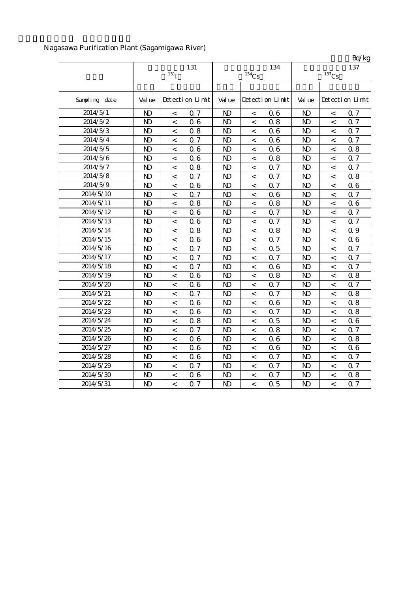Nagasawa Purification Plant (Sagamigawa River)

|               |                |                  |                 |                |                     |                 |                |                          | Bq/kg           |
|---------------|----------------|------------------|-----------------|----------------|---------------------|-----------------|----------------|--------------------------|-----------------|
|               |                | 131              |                 |                | 134                 | 137             |                |                          |                 |
|               |                | 131 <sub>l</sub> |                 |                | $^{134}\mathrm{Cs}$ |                 |                | $^{137}\mathrm{Cs}$      |                 |
| Sampling date | Val ue         |                  | Detection Limit | Val ue         |                     | Detection Limit | Val ue         |                          | Detection Limit |
| 2014/5/1      | N <sub>D</sub> | $\,<$            | 0.7             | N <sub>D</sub> | $\,<\,$             | 06              | N <sub>D</sub> | $\,<$                    | 0.7             |
| 2014/5/2      | $\mathbf{D}$   | $\,<$            | 0.6             | $\mathbf{D}$   | $\,<\,$             | 0.8             | $\mathbf{D}$   | $\,<\,$                  | Q 7             |
| 2014/5/3      | $\mathbf{D}$   | $\,<$            | 0.8             | N <sub>D</sub> | $\,<\,$             | 06              | $\mathbf{D}$   | $\,<\,$                  | Q 7             |
| 2014/5/4      | N <sub>D</sub> | $\,<$            | 0.7             | N <sub>D</sub> | $\,<\,$             | 06              | $\mathbf{N}$   | $\,<\,$                  | 0.7             |
| 2014/5/5      | $\mathbf{D}$   | $\lt$            | 0.6             | N <sub>D</sub> | $\,<\,$             | 06              | $\mathbf{N}$   | $\,<\,$                  | 0.8             |
| 2014/5/6      | $\mathbf{D}$   | $\,<$            | 0.6             | $\mathbf{D}$   | $\,<\,$             | 0.8             | $\mathbf{N}$   | $\,<\,$                  | 0.7             |
| 2014/5/7      | $\mathbf{D}$   | $\lt$            | 0.8             | $\mathbf{D}$   | $\,<\,$             | Q 7             | $\mathbf{N}$   | $\overline{\phantom{a}}$ | 0.7             |
| 2014/5/8      | $\mathbf{D}$   | $\,<$            | 0.7             | $\mathbf{D}$   | $\,<\,$             | Q 7             | $\mathbf{N}$   | $\,<\,$                  | 0.8             |
| 2014/5/9      | $\mathbf{D}$   | $\overline{a}$   | 0.6             | $\mathbf{D}$   | $\,<\,$             | Q 7             | $\mathbf{N}$   | $\overline{a}$           | 06              |
| 2014/5/10     | $\mathbf{D}$   | $\overline{a}$   | 0.7             | $\mathbf{D}$   | $\,<\,$             | 06              | $\mathbf{N}$   | $\overline{a}$           | Q 7             |
| 2014/5/11     | $\mathbf{D}$   | $\overline{a}$   | 0.8             | $\mathbf{D}$   | $\,<\,$             | 0.8             | $\mathbf{N}$   | $\overline{a}$           | 06              |
| 2014/5/12     | $\mathbf{D}$   | $\overline{a}$   | 0.6             | $\mathbf{D}$   | $\,<\,$             | 0.7             | $\mathbf{N}$   | $\overline{a}$           | Q 7             |
| 2014/5/13     | $\mathbf{N}$   | $\lt$            | 0.6             | $\mathbf{D}$   | $\prec$             | Q 7             | $\mathbf{D}$   | $\prec$                  | 0.7             |
| 2014/5/14     | $\mathbf{N}$   | $\lt$            | 0.8             | $\mathbf{D}$   | $\prec$             | 0.8             | $\mathbf{D}$   | $\prec$                  | Q 9             |
| 2014/5/15     | $\mathbf{N}$   | $\,<\,$          | 0.6             | $\mathbf{D}$   | $\prec$             | Q 7             | $\mathbf{N}$   | $\overline{a}$           | 06              |
| 2014/5/16     | $\mathbf{N}$   | $\,<\,$          | 0.7             | $\mathbf{D}$   | $\,<\,$             | 0.5             | $\mathbf{D}$   | $\overline{a}$           | 0.7             |
| 2014/5/17     | $\mathbf{N}$   | $\overline{a}$   | 0.7             | $\mathbf{N}$   | $\overline{a}$      | Q 7             | $\mathbf{N}$   | $\overline{a}$           | <b>Q7</b>       |
| 2014/5/18     | $\mathbf{N}$   | $\overline{a}$   | 0.7             | N <sub>D</sub> | $\,<\,$             | 06              | $\mathbf{N}$   | $\overline{a}$           | <b>Q7</b>       |
| 2014/5/19     | $\mathbf{N}$   | $\,<$            | 0.6             | $\mathbf{N}$   | $\,<\,$             | 0.8             | $\mathbf{N}$   | $\overline{a}$           | 0.8             |
| 2014/5/20     | $\mathbf{D}$   | $\,<\,$          | 0.6             | N <sub>D</sub> | $\,<\,$             | Q 7             | $\mathbf{N}$   | $\,<\,$                  | Q 7             |
| 2014/5/21     | $\mathbf{D}$   | $\,<\,$          | 0.7             | N <sub>D</sub> | $\,<\,$             | 0.7             | $\mathbf{D}$   | $\,<\,$                  | 0.8             |
| 2014/5/22     | $\mathbf{D}$   | $\,<\,$          | 0.6             | N <sub>D</sub> | $\,<\,$             | 06              | $\mathbf{D}$   | $\,<\,$                  | 0.8             |
| 2014/5/23     | $\mathbf{D}$   | $\,<\,$          | 0.6             | N <sub>D</sub> | $\,<\,$             | Q 7             | $\mathbf{D}$   | $\,<\,$                  | 0.8             |
| 2014/5/24     | $\mathbf{D}$   | $\,<\,$          | 0.8             | N)             | $\,<\,$             | 0.5             | $\mathbf{D}$   | $\,<\,$                  | 06              |
| 2014/5/25     | $\mathbf{D}$   | $\,<\,$          | 0.7             | $\mathbf{D}$   | $\,<\,$             | 0.8             | N <sub>D</sub> | $\,<\,$                  | 0.7             |
| 2014/5/26     | $\mathbf{D}$   | $\,<\,$          | 0.6             | $\mathbf{D}$   | $\,<\,$             | 06              | $\mathbf{D}$   | $\,<\,$                  | 0.8             |
| 2014/5/27     | $\mathbf{D}$   | $\,<\,$          | 0.6             | $\mathbf{D}$   | $\,<\,$             | 06              | $\mathbf{D}$   | $\,<\,$                  | 06              |
| 2014/5/28     | $\mathbf{D}$   | $\lt$            | 0.6             | $\mathbf{D}$   | $\,<\,$             | 0.7             | $\mathbf{N}$   | $\,<\,$                  | 0.7             |
| 2014/5/29     | $\mathbf{D}$   | $\lt$            | 0.7             | $\mathbf{D}$   | $\,<\,$             | 0.7             | $\mathbf{N}$   | $\,<\,$                  | Q 7             |
| 2014/5/30     | $\mathbf{D}$   | $\overline{a}$   | 0.6             | N <sub>D</sub> | $\,<$               | 0.7             | $\mathbf{D}$   | $\,<\,$                  | 0.8             |
| 2014/5/31     | $\mathbf{D}$   | $\overline{a}$   | 0.7             | $\mathbf{D}$   | $\lt$               | 0.5             | $\mathbf{N}$   | $\lt$                    | Q 7             |